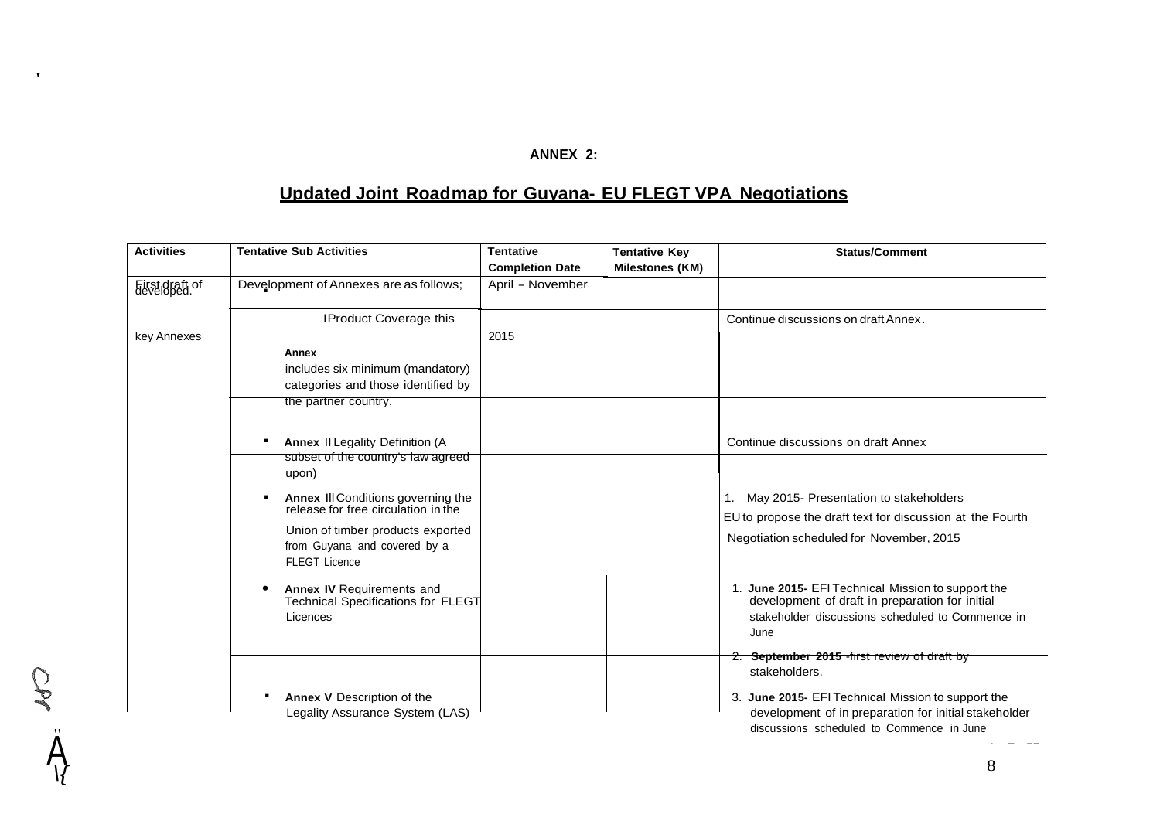## **ANNEX 2:**

## **Updated Joint Roadmap for Guyana- EU FLEGT VPA Negotiations**

| <b>Activities</b>            | <b>Tentative Sub Activities</b>                                                                                                     | <b>Tentative</b><br><b>Completion Date</b> | <b>Tentative Key</b><br><b>Milestones (KM)</b> | <b>Status/Comment</b>                                                                                                                                                                                                     |
|------------------------------|-------------------------------------------------------------------------------------------------------------------------------------|--------------------------------------------|------------------------------------------------|---------------------------------------------------------------------------------------------------------------------------------------------------------------------------------------------------------------------------|
| Füstidfatt of<br>key Annexes | Development of Annexes are as follows;                                                                                              | April - November                           |                                                |                                                                                                                                                                                                                           |
|                              | <b>IProduct Coverage this</b>                                                                                                       | 2015                                       |                                                | Continue discussions on draft Annex.                                                                                                                                                                                      |
|                              | Annex<br>includes six minimum (mandatory)<br>categories and those identified by<br>the partner country.                             |                                            |                                                |                                                                                                                                                                                                                           |
|                              | <b>Annex II Legality Definition (A)</b><br>subset of the country's law agreed<br>upon)                                              |                                            |                                                | Continue discussions on draft Annex                                                                                                                                                                                       |
|                              | Annex III Conditions governing the<br>release for free circulation in the<br>Union of timber products exported                      |                                            |                                                | 1. May 2015- Presentation to stakeholders<br>EU to propose the draft text for discussion at the Fourth<br>Negotiation scheduled for November, 2015                                                                        |
|                              | from Guyana and covered by a<br><b>FLEGT Licence</b><br>Annex IV Requirements and<br>Technical Specifications for FLEGT<br>Licences |                                            |                                                | 1. June 2015- EFI Technical Mission to support the<br>development of draft in preparation for initial<br>stakeholder discussions scheduled to Commence in<br>June                                                         |
|                              | Annex V Description of the<br>Legality Assurance System (LAS)                                                                       |                                            |                                                | 2. September 2015 - first review of draft by<br>stakeholders.<br>3. June 2015- EFI Technical Mission to support the<br>development of in preparation for initial stakeholder<br>discussions scheduled to Commence in June |

A

*\{*

 $\bullet$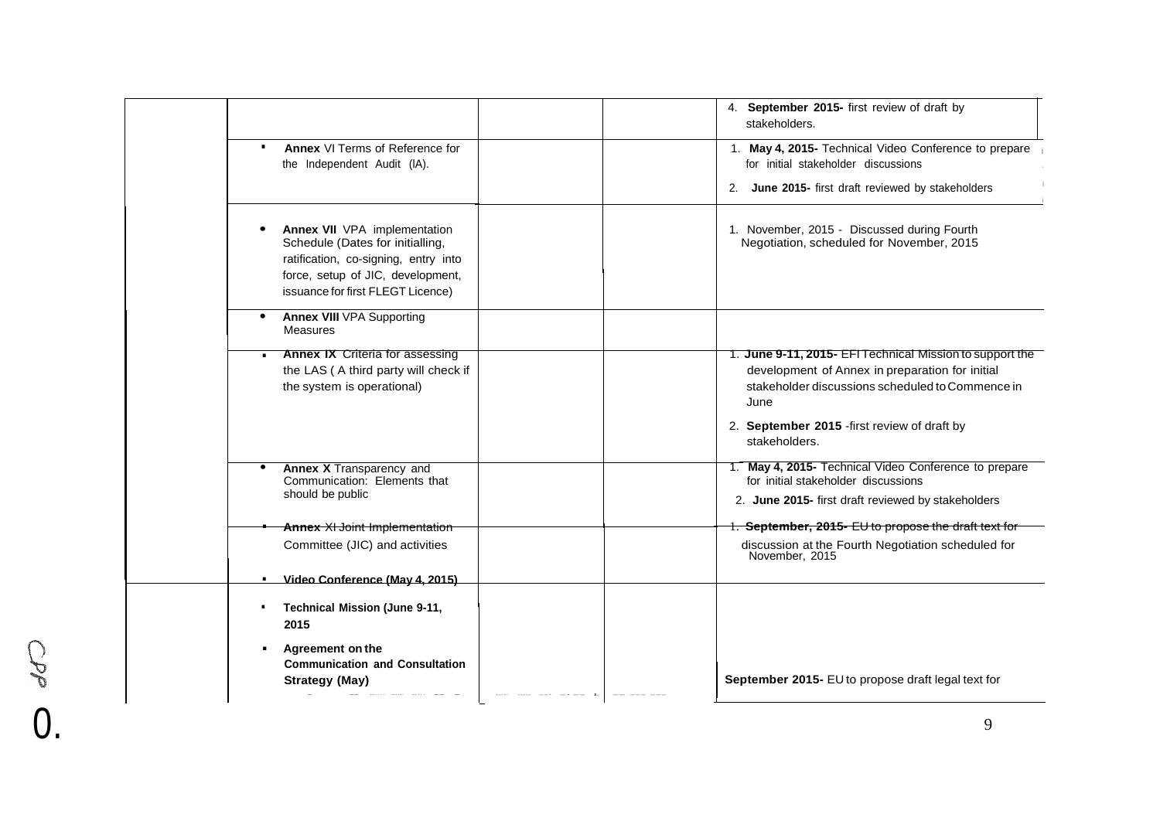|                                           |                                                                                                                                                                                    | 4. September 2015- first review of draft by<br>stakeholders.                                                                                                            |
|-------------------------------------------|------------------------------------------------------------------------------------------------------------------------------------------------------------------------------------|-------------------------------------------------------------------------------------------------------------------------------------------------------------------------|
| п                                         | Annex VI Terms of Reference for<br>the Independent Audit (IA).                                                                                                                     | 1. May 4, 2015- Technical Video Conference to prepare<br>for initial stakeholder discussions                                                                            |
|                                           |                                                                                                                                                                                    | 2. June 2015- first draft reviewed by stakeholders                                                                                                                      |
|                                           | Annex VII VPA implementation<br>Schedule (Dates for initialling,<br>ratification, co-signing, entry into<br>force, setup of JIC, development,<br>issuance for first FLEGT Licence) | 1. November, 2015 - Discussed during Fourth<br>Negotiation, scheduled for November, 2015                                                                                |
| Measures                                  | <b>Annex VIII VPA Supporting</b>                                                                                                                                                   |                                                                                                                                                                         |
| the system is operational)                | <b>Annex IX Criteria for assessing</b><br>the LAS (A third party will check if                                                                                                     | 1. June 9-11, 2015- EFI Technical Mission to support the<br>development of Annex in preparation for initial<br>stakeholder discussions scheduled to Commence in<br>June |
|                                           |                                                                                                                                                                                    | 2. September 2015 - first review of draft by<br>stakeholders.                                                                                                           |
| should be public                          | <b>Annex X Transparency and</b><br>Communication: Elements that                                                                                                                    | 1. May 4, 2015- Technical Video Conference to prepare<br>for initial stakeholder discussions<br>2. June 2015- first draft reviewed by stakeholders                      |
|                                           | <b>Annex XI Joint Implementation</b>                                                                                                                                               | 1. September, 2015- EU to propose the draft text for                                                                                                                    |
|                                           | Committee (JIC) and activities                                                                                                                                                     | discussion at the Fourth Negotiation scheduled for<br>November, 2015                                                                                                    |
|                                           | Video Conference (May 4, 2015)                                                                                                                                                     |                                                                                                                                                                         |
| $\blacksquare$<br>2015                    | Technical Mission (June 9-11,                                                                                                                                                      |                                                                                                                                                                         |
| Agreement on the<br><b>Strategy (May)</b> | <b>Communication and Consultation</b>                                                                                                                                              | September 2015- EU to propose draft legal text for                                                                                                                      |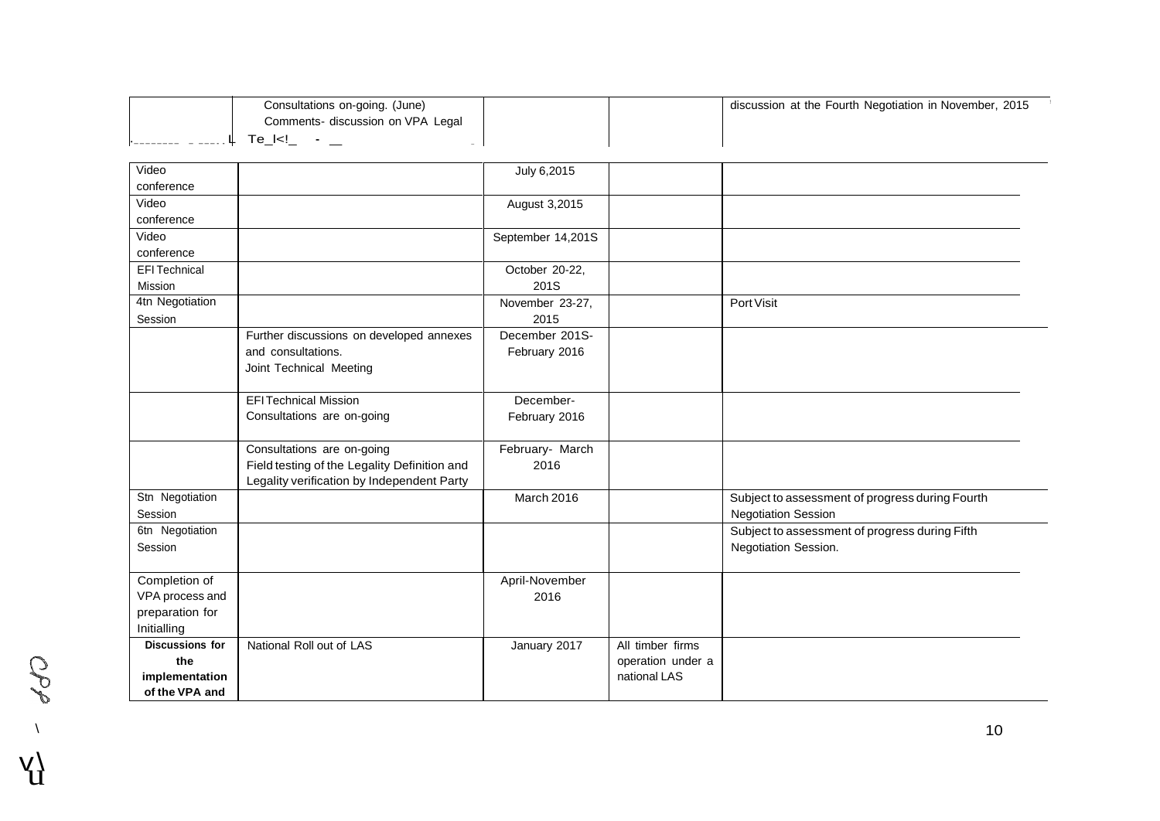|                        | Consultations on-going. (June)                     |                   |                   | discussion at the Fourth Negotiation in November, 2015 |
|------------------------|----------------------------------------------------|-------------------|-------------------|--------------------------------------------------------|
|                        | Comments- discussion on VPA Legal                  |                   |                   |                                                        |
| Щ.                     | $Te_{-}$ $\leq$ $\frac{1}{2}$ $\leq$ $\frac{1}{2}$ |                   |                   |                                                        |
|                        |                                                    |                   |                   |                                                        |
| Video                  |                                                    | July 6,2015       |                   |                                                        |
| conference             |                                                    |                   |                   |                                                        |
| Video                  |                                                    | August 3,2015     |                   |                                                        |
| conference             |                                                    |                   |                   |                                                        |
| Video                  |                                                    | September 14,201S |                   |                                                        |
| conference             |                                                    |                   |                   |                                                        |
| <b>EFI Technical</b>   |                                                    | October 20-22,    |                   |                                                        |
| Mission                |                                                    | 201S              |                   |                                                        |
| 4tn Negotiation        |                                                    | November 23-27,   |                   | Port Visit                                             |
| Session                |                                                    | 2015              |                   |                                                        |
|                        | Further discussions on developed annexes           | December 201S-    |                   |                                                        |
|                        | and consultations.                                 | February 2016     |                   |                                                        |
|                        | Joint Technical Meeting                            |                   |                   |                                                        |
|                        |                                                    |                   |                   |                                                        |
|                        | <b>EFITechnical Mission</b>                        | December-         |                   |                                                        |
|                        | Consultations are on-going                         | February 2016     |                   |                                                        |
|                        |                                                    |                   |                   |                                                        |
|                        | Consultations are on-going                         | February- March   |                   |                                                        |
|                        | Field testing of the Legality Definition and       | 2016              |                   |                                                        |
|                        | Legality verification by Independent Party         |                   |                   |                                                        |
| Stn Negotiation        |                                                    | March 2016        |                   | Subject to assessment of progress during Fourth        |
| Session                |                                                    |                   |                   | <b>Negotiation Session</b>                             |
| 6tn Negotiation        |                                                    |                   |                   | Subject to assessment of progress during Fifth         |
| Session                |                                                    |                   |                   | Negotiation Session.                                   |
|                        |                                                    |                   |                   |                                                        |
| Completion of          |                                                    | April-November    |                   |                                                        |
| VPA process and        |                                                    | 2016              |                   |                                                        |
| preparation for        |                                                    |                   |                   |                                                        |
| Initialling            |                                                    |                   |                   |                                                        |
| <b>Discussions for</b> | National Roll out of LAS                           | January 2017      | All timber firms  |                                                        |
| the                    |                                                    |                   | operation under a |                                                        |
| implementation         |                                                    |                   | national LAS      |                                                        |
| of the VPA and         |                                                    |                   |                   |                                                        |